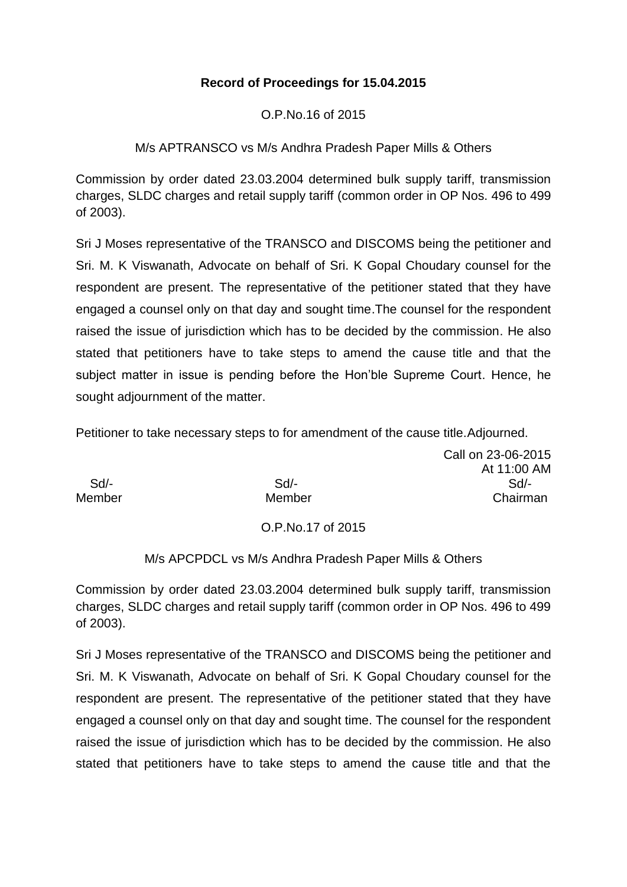# **Record of Proceedings for 15.04.2015**

O.P.No.16 of 2015

M/s APTRANSCO vs M/s Andhra Pradesh Paper Mills & Others

Commission by order dated 23.03.2004 determined bulk supply tariff, transmission charges, SLDC charges and retail supply tariff (common order in OP Nos. 496 to 499 of 2003).

Sri J Moses representative of the TRANSCO and DISCOMS being the petitioner and Sri. M. K Viswanath, Advocate on behalf of Sri. K Gopal Choudary counsel for the respondent are present. The representative of the petitioner stated that they have engaged a counsel only on that day and sought time.The counsel for the respondent raised the issue of jurisdiction which has to be decided by the commission. He also stated that petitioners have to take steps to amend the cause title and that the subject matter in issue is pending before the Hon'ble Supreme Court. Hence, he sought adjournment of the matter.

Petitioner to take necessary steps to for amendment of the cause title.Adjourned.

|        |        | Call on 23-06-2015 |
|--------|--------|--------------------|
|        |        | At 11:00 AM        |
| Sd/-   | $Sd$ - | $Sd$ -             |
| Member | Member | Chairman           |
|        |        |                    |

## O.P.No.17 of 2015

## M/s APCPDCL vs M/s Andhra Pradesh Paper Mills & Others

Commission by order dated 23.03.2004 determined bulk supply tariff, transmission charges, SLDC charges and retail supply tariff (common order in OP Nos. 496 to 499 of 2003).

Sri J Moses representative of the TRANSCO and DISCOMS being the petitioner and Sri. M. K Viswanath, Advocate on behalf of Sri. K Gopal Choudary counsel for the respondent are present. The representative of the petitioner stated that they have engaged a counsel only on that day and sought time. The counsel for the respondent raised the issue of jurisdiction which has to be decided by the commission. He also stated that petitioners have to take steps to amend the cause title and that the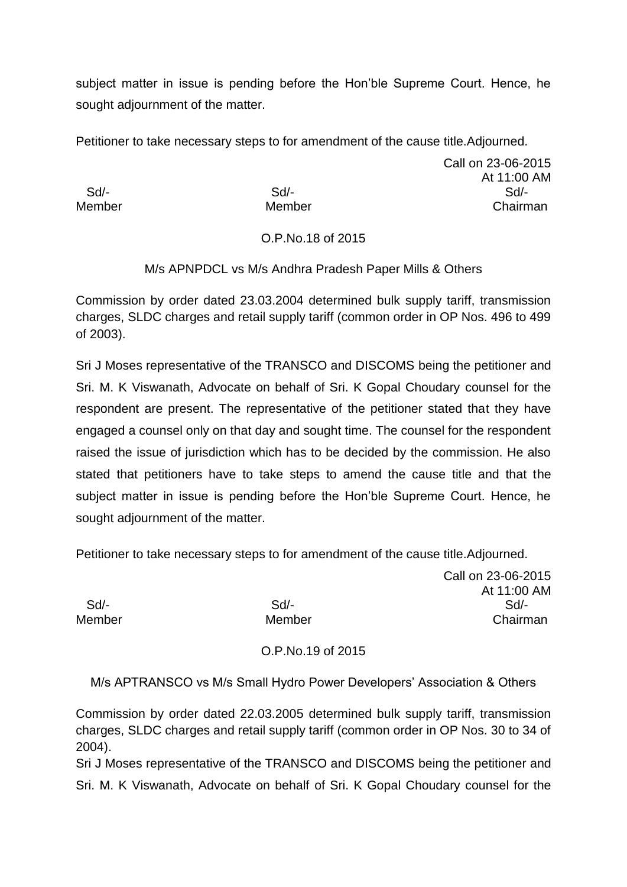subject matter in issue is pending before the Hon'ble Supreme Court. Hence, he sought adjournment of the matter.

Petitioner to take necessary steps to for amendment of the cause title.Adjourned.

Call on 23-06-2015 At 11:00 AM Sd/- Sd/- Sd/- Member Member Chairman

# O.P.No.18 of 2015

M/s APNPDCL vs M/s Andhra Pradesh Paper Mills & Others

Commission by order dated 23.03.2004 determined bulk supply tariff, transmission charges, SLDC charges and retail supply tariff (common order in OP Nos. 496 to 499 of 2003).

Sri J Moses representative of the TRANSCO and DISCOMS being the petitioner and Sri. M. K Viswanath, Advocate on behalf of Sri. K Gopal Choudary counsel for the respondent are present. The representative of the petitioner stated that they have engaged a counsel only on that day and sought time. The counsel for the respondent raised the issue of jurisdiction which has to be decided by the commission. He also stated that petitioners have to take steps to amend the cause title and that the subject matter in issue is pending before the Hon'ble Supreme Court. Hence, he sought adjournment of the matter.

Petitioner to take necessary steps to for amendment of the cause title.Adjourned.

Call on 23-06-2015 At 11:00 AM Sd/- Sd/- Sd/- Member Member Chairman

O.P.No.19 of 2015

M/s APTRANSCO vs M/s Small Hydro Power Developers' Association & Others

Commission by order dated 22.03.2005 determined bulk supply tariff, transmission charges, SLDC charges and retail supply tariff (common order in OP Nos. 30 to 34 of 2004).

Sri J Moses representative of the TRANSCO and DISCOMS being the petitioner and Sri. M. K Viswanath, Advocate on behalf of Sri. K Gopal Choudary counsel for the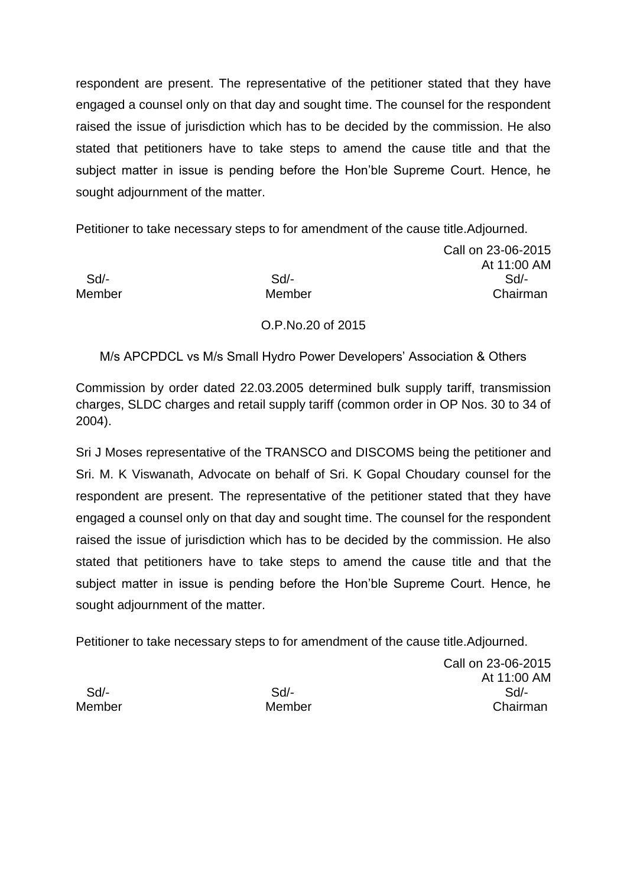respondent are present. The representative of the petitioner stated that they have engaged a counsel only on that day and sought time. The counsel for the respondent raised the issue of jurisdiction which has to be decided by the commission. He also stated that petitioners have to take steps to amend the cause title and that the subject matter in issue is pending before the Hon'ble Supreme Court. Hence, he sought adjournment of the matter.

Petitioner to take necessary steps to for amendment of the cause title.Adjourned.

Call on 23-06-2015 At 11:00 AM Sd/- Sd/- Sd/- Member Member Chairman

# O.P.No.20 of 2015

M/s APCPDCL vs M/s Small Hydro Power Developers' Association & Others

Commission by order dated 22.03.2005 determined bulk supply tariff, transmission charges, SLDC charges and retail supply tariff (common order in OP Nos. 30 to 34 of 2004).

Sri J Moses representative of the TRANSCO and DISCOMS being the petitioner and Sri. M. K Viswanath, Advocate on behalf of Sri. K Gopal Choudary counsel for the respondent are present. The representative of the petitioner stated that they have engaged a counsel only on that day and sought time. The counsel for the respondent raised the issue of jurisdiction which has to be decided by the commission. He also stated that petitioners have to take steps to amend the cause title and that the subject matter in issue is pending before the Hon'ble Supreme Court. Hence, he sought adjournment of the matter.

Petitioner to take necessary steps to for amendment of the cause title.Adjourned.

Call on 23-06-2015 At 11:00 AM Sd/- Sd/- Sd/- Member Member Chairman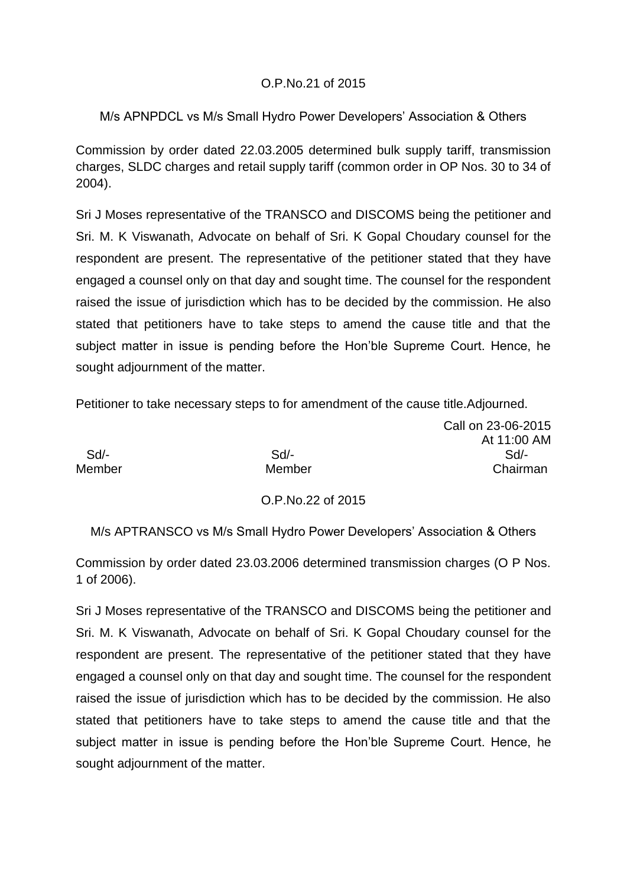## O.P.No.21 of 2015

# M/s APNPDCL vs M/s Small Hydro Power Developers' Association & Others

Commission by order dated 22.03.2005 determined bulk supply tariff, transmission charges, SLDC charges and retail supply tariff (common order in OP Nos. 30 to 34 of 2004).

Sri J Moses representative of the TRANSCO and DISCOMS being the petitioner and Sri. M. K Viswanath, Advocate on behalf of Sri. K Gopal Choudary counsel for the respondent are present. The representative of the petitioner stated that they have engaged a counsel only on that day and sought time. The counsel for the respondent raised the issue of jurisdiction which has to be decided by the commission. He also stated that petitioners have to take steps to amend the cause title and that the subject matter in issue is pending before the Hon'ble Supreme Court. Hence, he sought adjournment of the matter.

Petitioner to take necessary steps to for amendment of the cause title.Adjourned.

Call on 23-06-2015 At 11:00 AM Sd/- Sd/- Sd/- Member Member Chairman

## O.P.No.22 of 2015

M/s APTRANSCO vs M/s Small Hydro Power Developers' Association & Others

Commission by order dated 23.03.2006 determined transmission charges (O P Nos. 1 of 2006).

Sri J Moses representative of the TRANSCO and DISCOMS being the petitioner and Sri. M. K Viswanath, Advocate on behalf of Sri. K Gopal Choudary counsel for the respondent are present. The representative of the petitioner stated that they have engaged a counsel only on that day and sought time. The counsel for the respondent raised the issue of jurisdiction which has to be decided by the commission. He also stated that petitioners have to take steps to amend the cause title and that the subject matter in issue is pending before the Hon'ble Supreme Court. Hence, he sought adjournment of the matter.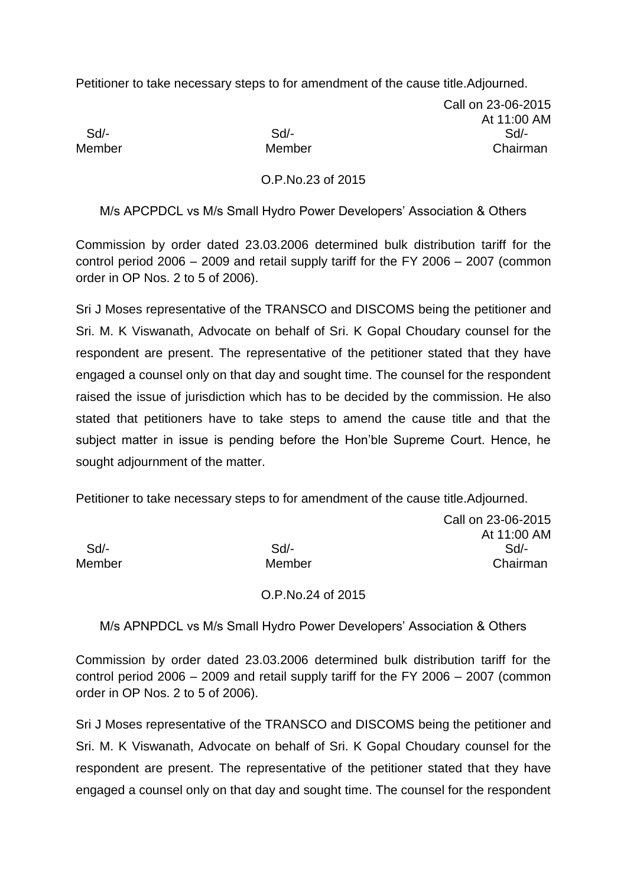Petitioner to take necessary steps to for amendment of the cause title.Adjourned.

Call on 23-06-2015 At 11:00 AM Sd/- Sd/- Sd/- Member Member Chairman

### O.P.No.23 of 2015

M/s APCPDCL vs M/s Small Hydro Power Developers' Association & Others

Commission by order dated 23.03.2006 determined bulk distribution tariff for the control period 2006 – 2009 and retail supply tariff for the FY 2006 – 2007 (common order in OP Nos. 2 to 5 of 2006).

Sri J Moses representative of the TRANSCO and DISCOMS being the petitioner and Sri. M. K Viswanath, Advocate on behalf of Sri. K Gopal Choudary counsel for the respondent are present. The representative of the petitioner stated that they have engaged a counsel only on that day and sought time. The counsel for the respondent raised the issue of jurisdiction which has to be decided by the commission. He also stated that petitioners have to take steps to amend the cause title and that the subject matter in issue is pending before the Hon'ble Supreme Court. Hence, he sought adjournment of the matter.

Petitioner to take necessary steps to for amendment of the cause title.Adjourned.

Call on 23-06-2015 At 11:00 AM Sd/- Sd/- Sd/- Member Member Chairman

O.P.No.24 of 2015

M/s APNPDCL vs M/s Small Hydro Power Developers' Association & Others

Commission by order dated 23.03.2006 determined bulk distribution tariff for the control period 2006 – 2009 and retail supply tariff for the FY 2006 – 2007 (common order in OP Nos. 2 to 5 of 2006).

Sri J Moses representative of the TRANSCO and DISCOMS being the petitioner and Sri. M. K Viswanath, Advocate on behalf of Sri. K Gopal Choudary counsel for the respondent are present. The representative of the petitioner stated that they have engaged a counsel only on that day and sought time. The counsel for the respondent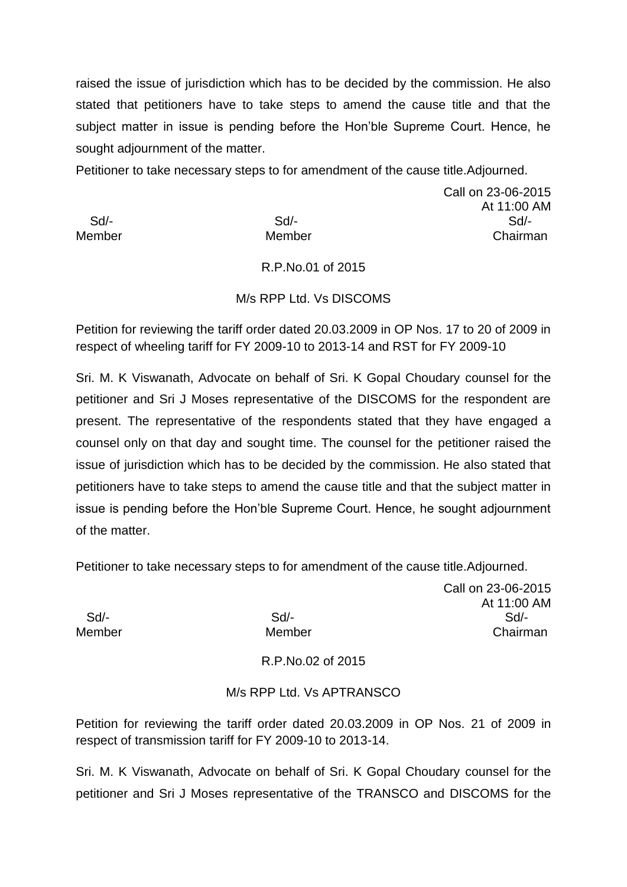raised the issue of jurisdiction which has to be decided by the commission. He also stated that petitioners have to take steps to amend the cause title and that the subject matter in issue is pending before the Hon'ble Supreme Court. Hence, he sought adjournment of the matter.

Petitioner to take necessary steps to for amendment of the cause title.Adjourned.

Call on 23-06-2015 At 11:00 AM Sd/- Sd/- Sd/- Member Member Chairman

## R.P.No.01 of 2015

## M/s RPP Ltd. Vs DISCOMS

Petition for reviewing the tariff order dated 20.03.2009 in OP Nos. 17 to 20 of 2009 in respect of wheeling tariff for FY 2009-10 to 2013-14 and RST for FY 2009-10

Sri. M. K Viswanath, Advocate on behalf of Sri. K Gopal Choudary counsel for the petitioner and Sri J Moses representative of the DISCOMS for the respondent are present. The representative of the respondents stated that they have engaged a counsel only on that day and sought time. The counsel for the petitioner raised the issue of jurisdiction which has to be decided by the commission. He also stated that petitioners have to take steps to amend the cause title and that the subject matter in issue is pending before the Hon'ble Supreme Court. Hence, he sought adjournment of the matter.

Petitioner to take necessary steps to for amendment of the cause title.Adjourned.

Call on 23-06-2015 At 11:00 AM Sd/- Sd/- Sd/- Member Member Chairman

R.P.No.02 of 2015

## M/s RPP Ltd. Vs APTRANSCO

Petition for reviewing the tariff order dated 20.03.2009 in OP Nos. 21 of 2009 in respect of transmission tariff for FY 2009-10 to 2013-14.

Sri. M. K Viswanath, Advocate on behalf of Sri. K Gopal Choudary counsel for the petitioner and Sri J Moses representative of the TRANSCO and DISCOMS for the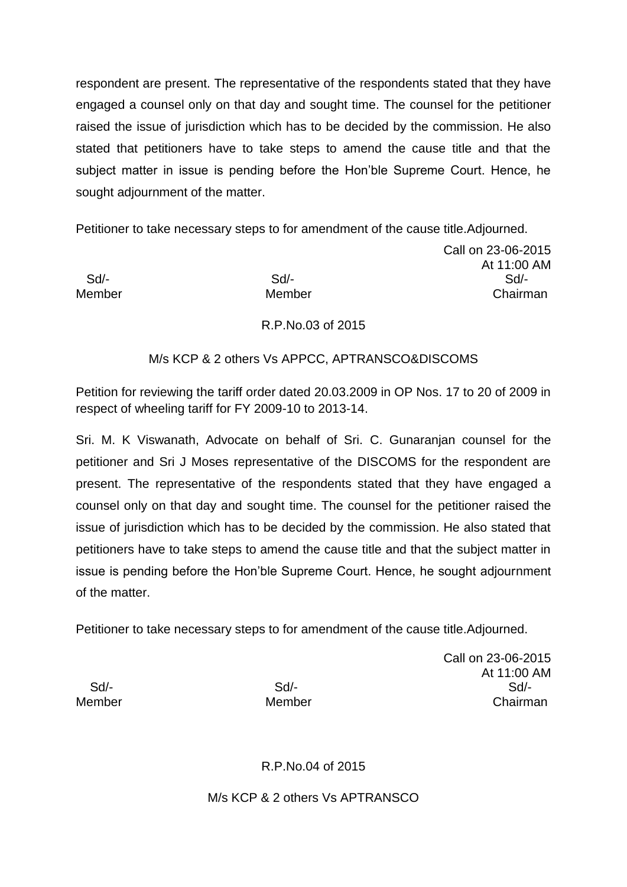respondent are present. The representative of the respondents stated that they have engaged a counsel only on that day and sought time. The counsel for the petitioner raised the issue of jurisdiction which has to be decided by the commission. He also stated that petitioners have to take steps to amend the cause title and that the subject matter in issue is pending before the Hon'ble Supreme Court. Hence, he sought adjournment of the matter.

Petitioner to take necessary steps to for amendment of the cause title.Adjourned.

Call on 23-06-2015 At 11:00 AM Sd/- Sd/- Sd/- Member Member Chairman

# R.P.No.03 of 2015

## M/s KCP & 2 others Vs APPCC, APTRANSCO&DISCOMS

Petition for reviewing the tariff order dated 20.03.2009 in OP Nos. 17 to 20 of 2009 in respect of wheeling tariff for FY 2009-10 to 2013-14.

Sri. M. K Viswanath, Advocate on behalf of Sri. C. Gunaranjan counsel for the petitioner and Sri J Moses representative of the DISCOMS for the respondent are present. The representative of the respondents stated that they have engaged a counsel only on that day and sought time. The counsel for the petitioner raised the issue of jurisdiction which has to be decided by the commission. He also stated that petitioners have to take steps to amend the cause title and that the subject matter in issue is pending before the Hon'ble Supreme Court. Hence, he sought adjournment of the matter.

Petitioner to take necessary steps to for amendment of the cause title.Adjourned.

Call on 23-06-2015 At 11:00 AM Sd/- Sd/- Sd/- Member Member Chairman

R.P.No.04 of 2015

M/s KCP & 2 others Vs APTRANSCO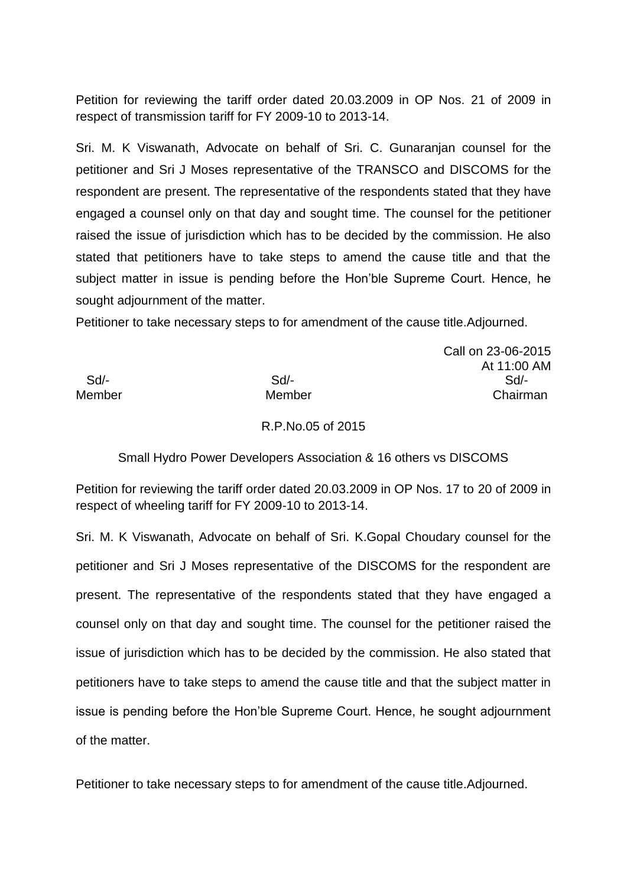Petition for reviewing the tariff order dated 20.03.2009 in OP Nos. 21 of 2009 in respect of transmission tariff for FY 2009-10 to 2013-14.

Sri. M. K Viswanath, Advocate on behalf of Sri. C. Gunaranjan counsel for the petitioner and Sri J Moses representative of the TRANSCO and DISCOMS for the respondent are present. The representative of the respondents stated that they have engaged a counsel only on that day and sought time. The counsel for the petitioner raised the issue of jurisdiction which has to be decided by the commission. He also stated that petitioners have to take steps to amend the cause title and that the subject matter in issue is pending before the Hon'ble Supreme Court. Hence, he sought adjournment of the matter.

Petitioner to take necessary steps to for amendment of the cause title.Adjourned.

Call on 23-06-2015 At 11:00 AM Sd/- Sd/- Sd/- Member Member Chairman

#### R.P.No.05 of 2015

Small Hydro Power Developers Association & 16 others vs DISCOMS

Petition for reviewing the tariff order dated 20.03.2009 in OP Nos. 17 to 20 of 2009 in respect of wheeling tariff for FY 2009-10 to 2013-14.

Sri. M. K Viswanath, Advocate on behalf of Sri. K.Gopal Choudary counsel for the petitioner and Sri J Moses representative of the DISCOMS for the respondent are present. The representative of the respondents stated that they have engaged a counsel only on that day and sought time. The counsel for the petitioner raised the issue of jurisdiction which has to be decided by the commission. He also stated that petitioners have to take steps to amend the cause title and that the subject matter in issue is pending before the Hon'ble Supreme Court. Hence, he sought adjournment of the matter.

Petitioner to take necessary steps to for amendment of the cause title.Adjourned.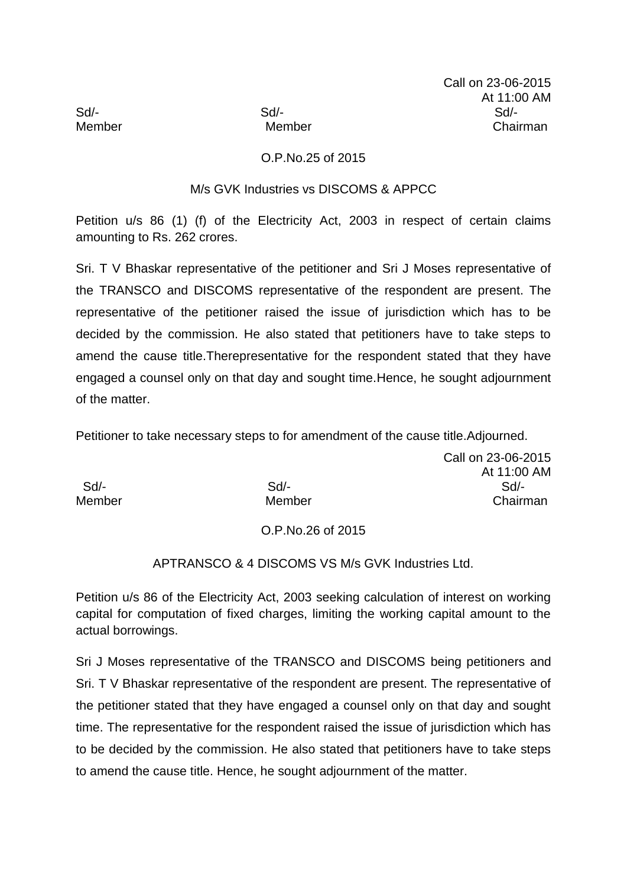# O.P.No.25 of 2015

## M/s GVK Industries vs DISCOMS & APPCC

Petition u/s 86 (1) (f) of the Electricity Act, 2003 in respect of certain claims amounting to Rs. 262 crores.

Sri. T V Bhaskar representative of the petitioner and Sri J Moses representative of the TRANSCO and DISCOMS representative of the respondent are present. The representative of the petitioner raised the issue of jurisdiction which has to be decided by the commission. He also stated that petitioners have to take steps to amend the cause title.Therepresentative for the respondent stated that they have engaged a counsel only on that day and sought time.Hence, he sought adjournment of the matter.

Petitioner to take necessary steps to for amendment of the cause title.Adjourned.

Call on 23-06-2015 At 11:00 AM Sd/- Sd/- Sd/- Member Member Chairman

### O.P.No.26 of 2015

## APTRANSCO & 4 DISCOMS VS M/s GVK Industries Ltd.

Petition u/s 86 of the Electricity Act, 2003 seeking calculation of interest on working capital for computation of fixed charges, limiting the working capital amount to the actual borrowings.

Sri J Moses representative of the TRANSCO and DISCOMS being petitioners and Sri. T V Bhaskar representative of the respondent are present. The representative of the petitioner stated that they have engaged a counsel only on that day and sought time. The representative for the respondent raised the issue of jurisdiction which has to be decided by the commission. He also stated that petitioners have to take steps to amend the cause title. Hence, he sought adjournment of the matter.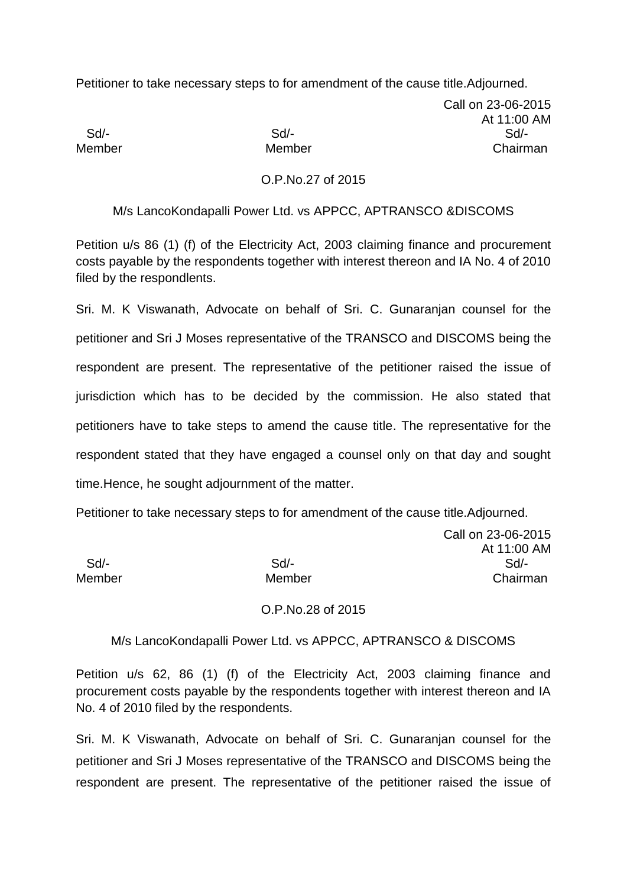Petitioner to take necessary steps to for amendment of the cause title.Adjourned.

Call on 23-06-2015 At 11:00 AM Sd/- Sd/- Sd/- Member Member Chairman

### O.P.No.27 of 2015

#### M/s LancoKondapalli Power Ltd. vs APPCC, APTRANSCO &DISCOMS

Petition u/s 86 (1) (f) of the Electricity Act, 2003 claiming finance and procurement costs payable by the respondents together with interest thereon and IA No. 4 of 2010 filed by the respondlents.

Sri. M. K Viswanath, Advocate on behalf of Sri. C. Gunaranjan counsel for the petitioner and Sri J Moses representative of the TRANSCO and DISCOMS being the respondent are present. The representative of the petitioner raised the issue of jurisdiction which has to be decided by the commission. He also stated that petitioners have to take steps to amend the cause title. The representative for the respondent stated that they have engaged a counsel only on that day and sought time.Hence, he sought adjournment of the matter.

Petitioner to take necessary steps to for amendment of the cause title.Adjourned.

Call on 23-06-2015 At 11:00 AM Sd/- Sd/- Sd/- Member Member Chairman

#### O.P.No.28 of 2015

### M/s LancoKondapalli Power Ltd. vs APPCC, APTRANSCO & DISCOMS

Petition u/s 62, 86 (1) (f) of the Electricity Act, 2003 claiming finance and procurement costs payable by the respondents together with interest thereon and IA No. 4 of 2010 filed by the respondents.

Sri. M. K Viswanath, Advocate on behalf of Sri. C. Gunaranjan counsel for the petitioner and Sri J Moses representative of the TRANSCO and DISCOMS being the respondent are present. The representative of the petitioner raised the issue of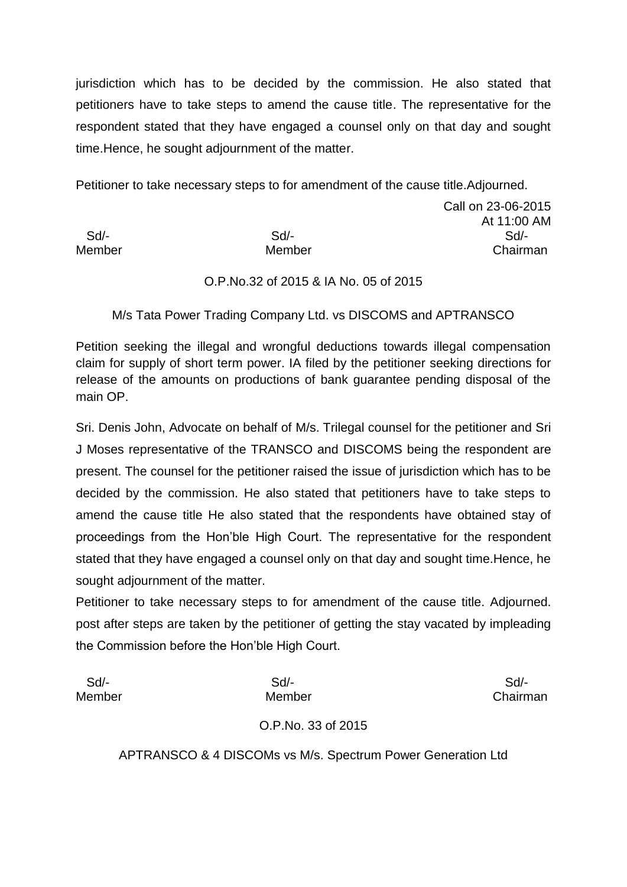jurisdiction which has to be decided by the commission. He also stated that petitioners have to take steps to amend the cause title. The representative for the respondent stated that they have engaged a counsel only on that day and sought time.Hence, he sought adjournment of the matter.

Petitioner to take necessary steps to for amendment of the cause title.Adjourned.

Call on 23-06-2015 At 11:00 AM Sd/- Sd/- Sd/- Member Member Chairman

## O.P.No.32 of 2015 & IA No. 05 of 2015

M/s Tata Power Trading Company Ltd. vs DISCOMS and APTRANSCO

Petition seeking the illegal and wrongful deductions towards illegal compensation claim for supply of short term power. IA filed by the petitioner seeking directions for release of the amounts on productions of bank guarantee pending disposal of the main OP.

Sri. Denis John, Advocate on behalf of M/s. Trilegal counsel for the petitioner and Sri J Moses representative of the TRANSCO and DISCOMS being the respondent are present. The counsel for the petitioner raised the issue of jurisdiction which has to be decided by the commission. He also stated that petitioners have to take steps to amend the cause title He also stated that the respondents have obtained stay of proceedings from the Hon'ble High Court. The representative for the respondent stated that they have engaged a counsel only on that day and sought time.Hence, he sought adjournment of the matter.

Petitioner to take necessary steps to for amendment of the cause title. Adjourned. post after steps are taken by the petitioner of getting the stay vacated by impleading the Commission before the Hon'ble High Court.

| Sd/-   | $Sd$ -             | Sd       |
|--------|--------------------|----------|
| Member | Member             | Chairman |
|        | O.P.No. 33 of 2015 |          |

APTRANSCO & 4 DISCOMs vs M/s. Spectrum Power Generation Ltd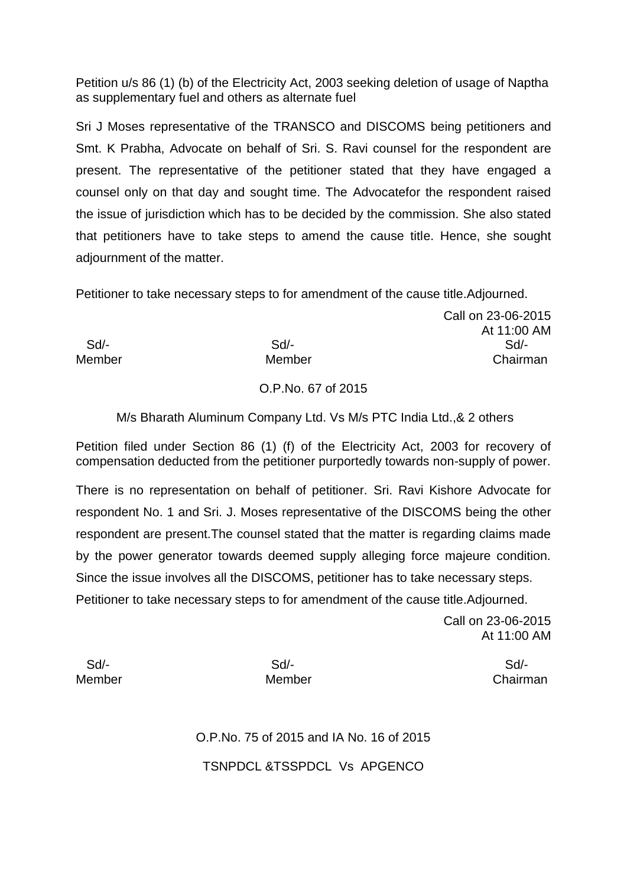Petition u/s 86 (1) (b) of the Electricity Act, 2003 seeking deletion of usage of Naptha as supplementary fuel and others as alternate fuel

Sri J Moses representative of the TRANSCO and DISCOMS being petitioners and Smt. K Prabha, Advocate on behalf of Sri. S. Ravi counsel for the respondent are present. The representative of the petitioner stated that they have engaged a counsel only on that day and sought time. The Advocatefor the respondent raised the issue of jurisdiction which has to be decided by the commission. She also stated that petitioners have to take steps to amend the cause title. Hence, she sought adjournment of the matter.

Petitioner to take necessary steps to for amendment of the cause title.Adjourned.

 Sd/- Sd/- Sd/- Member Member Chairman

## O.P.No. 67 of 2015

M/s Bharath Aluminum Company Ltd. Vs M/s PTC India Ltd.,& 2 others

Petition filed under Section 86 (1) (f) of the Electricity Act, 2003 for recovery of compensation deducted from the petitioner purportedly towards non-supply of power.

There is no representation on behalf of petitioner. Sri. Ravi Kishore Advocate for respondent No. 1 and Sri. J. Moses representative of the DISCOMS being the other respondent are present.The counsel stated that the matter is regarding claims made by the power generator towards deemed supply alleging force majeure condition. Since the issue involves all the DISCOMS, petitioner has to take necessary steps. Petitioner to take necessary steps to for amendment of the cause title.Adjourned.

> Call on 23-06-2015 At 11:00 AM

Call on 23-06-2015

At 11:00 AM

Sd/- Sd/- Sd/-

Member Member Chairman

O.P.No. 75 of 2015 and IA No. 16 of 2015 TSNPDCL &TSSPDCL Vs APGENCO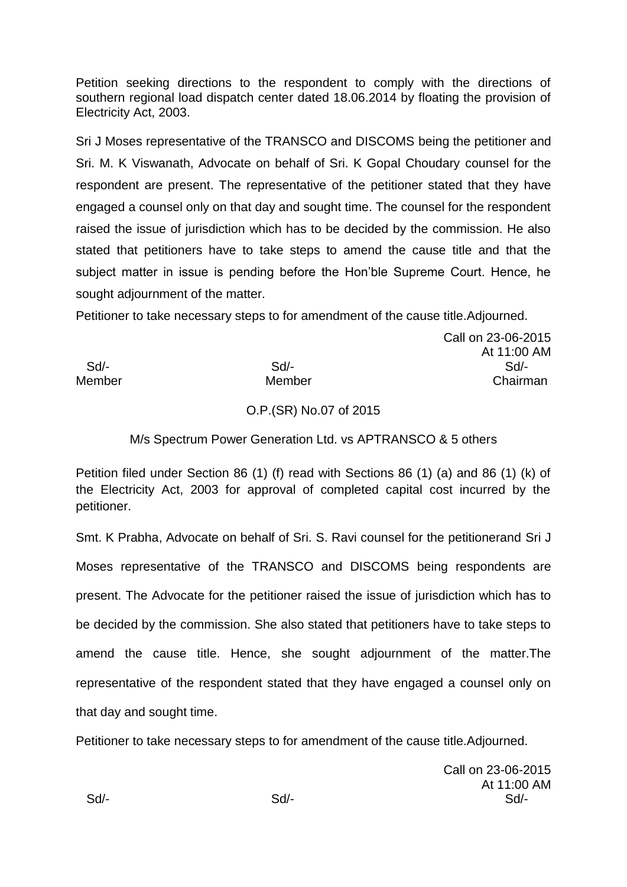Petition seeking directions to the respondent to comply with the directions of southern regional load dispatch center dated 18.06.2014 by floating the provision of Electricity Act, 2003.

Sri J Moses representative of the TRANSCO and DISCOMS being the petitioner and Sri. M. K Viswanath, Advocate on behalf of Sri. K Gopal Choudary counsel for the respondent are present. The representative of the petitioner stated that they have engaged a counsel only on that day and sought time. The counsel for the respondent raised the issue of jurisdiction which has to be decided by the commission. He also stated that petitioners have to take steps to amend the cause title and that the subject matter in issue is pending before the Hon'ble Supreme Court. Hence, he sought adjournment of the matter.

Petitioner to take necessary steps to for amendment of the cause title.Adjourned.

Call on 23-06-2015 At 11:00 AM Sd/- Sd/- Sd/- Member Member Chairman

## O.P.(SR) No.07 of 2015

## M/s Spectrum Power Generation Ltd. vs APTRANSCO & 5 others

Petition filed under Section 86 (1) (f) read with Sections 86 (1) (a) and 86 (1) (k) of the Electricity Act, 2003 for approval of completed capital cost incurred by the petitioner.

Smt. K Prabha, Advocate on behalf of Sri. S. Ravi counsel for the petitionerand Sri J Moses representative of the TRANSCO and DISCOMS being respondents are present. The Advocate for the petitioner raised the issue of jurisdiction which has to be decided by the commission. She also stated that petitioners have to take steps to amend the cause title. Hence, she sought adjournment of the matter.The representative of the respondent stated that they have engaged a counsel only on that day and sought time.

Petitioner to take necessary steps to for amendment of the cause title.Adjourned.

Call on 23-06-2015 At 11:00 AM Sd/- Sd/- Sd/-